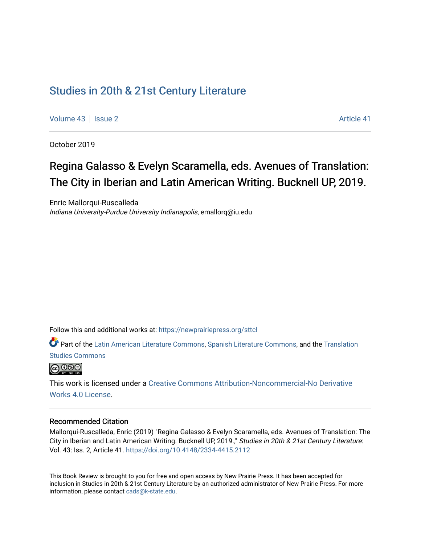# [Studies in 20th & 21st Century Literature](https://newprairiepress.org/sttcl)

[Volume 43](https://newprairiepress.org/sttcl/vol43) | [Issue 2](https://newprairiepress.org/sttcl/vol43/iss2) Article 41

October 2019

# Regina Galasso & Evelyn Scaramella, eds. A venues of Translation: The City in Iberian and Latin American Writing. Bucknell UP, 2019.

Enric Mallorqui-Ruscalleda Indiana University-Purdue University Indianapolis, emallorq@iu.edu

Follow this and additional works at: [https://newprairiepress.org/sttcl](https://newprairiepress.org/sttcl?utm_source=newprairiepress.org%2Fsttcl%2Fvol43%2Fiss2%2F41&utm_medium=PDF&utm_campaign=PDFCoverPages) 

Part of the [Latin American Literature Commons,](http://network.bepress.com/hgg/discipline/547?utm_source=newprairiepress.org%2Fsttcl%2Fvol43%2Fiss2%2F41&utm_medium=PDF&utm_campaign=PDFCoverPages) [Spanish Literature Commons](http://network.bepress.com/hgg/discipline/550?utm_source=newprairiepress.org%2Fsttcl%2Fvol43%2Fiss2%2F41&utm_medium=PDF&utm_campaign=PDFCoverPages), and the [Translation](http://network.bepress.com/hgg/discipline/1312?utm_source=newprairiepress.org%2Fsttcl%2Fvol43%2Fiss2%2F41&utm_medium=PDF&utm_campaign=PDFCoverPages)  [Studies Commons](http://network.bepress.com/hgg/discipline/1312?utm_source=newprairiepress.org%2Fsttcl%2Fvol43%2Fiss2%2F41&utm_medium=PDF&utm_campaign=PDFCoverPages) 



This work is licensed under a [Creative Commons Attribution-Noncommercial-No Derivative](https://creativecommons.org/licenses/by-nc-nd/4.0/)  [Works 4.0 License](https://creativecommons.org/licenses/by-nc-nd/4.0/).

#### Recommended Citation

Mallorqui-Ruscalleda, Enric (2019) "Regina Galasso & Evelyn Scaramella, eds. Avenues of Translation: The City in Iberian and Latin American Writing. Bucknell UP, 2019.," Studies in 20th & 21st Century Literature: Vol. 43: Iss. 2, Article 41.<https://doi.org/10.4148/2334-4415.2112>

This Book Review is brought to you for free and open access by New Prairie Press. It has been accepted for inclusion in Studies in 20th & 21st Century Literature by an authorized administrator of New Prairie Press. For more information, please contact [cads@k-state.edu](mailto:cads@k-state.edu).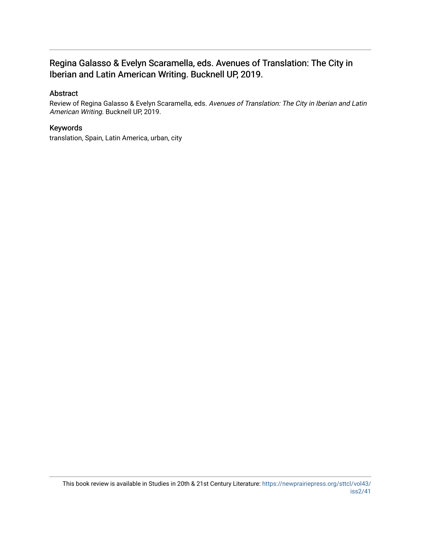## Regina Galasso & Evelyn Scaramella, eds. Avenues of Translation: The City in Iberian and Latin American Writing. Bucknell UP, 2019.

## Abstract

Review of Regina Galasso & Evelyn Scaramella, eds. Avenues of Translation: The City in Iberian and Latin American Writing. Bucknell UP, 2019.

### Keywords

translation, Spain, Latin America, urban, city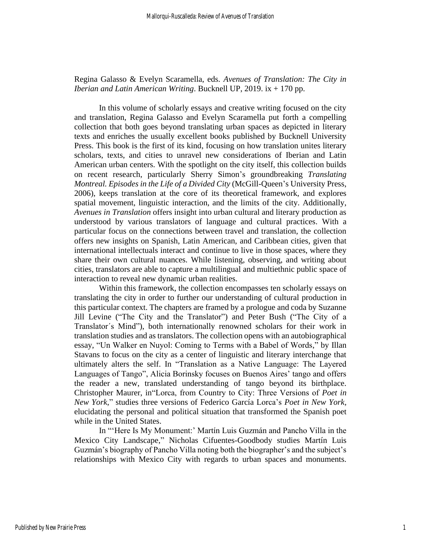Regina Galasso & Evelyn Scaramella, eds. *Avenues of Translation: The City in Iberian and Latin American Writing*. Bucknell UP, 2019. ix + 170 pp.

In this volume of scholarly essays and creative writing focused on the city and translation, Regina Galasso and Evelyn Scaramella put forth a compelling collection that both goes beyond translating urban spaces as depicted in literary texts and enriches the usually excellent books published by Bucknell University Press. This book is the first of its kind, focusing on how translation unites literary scholars, texts, and cities to unravel new considerations of Iberian and Latin American urban centers. With the spotlight on the city itself, this collection builds on recent research, particularly Sherry Simon's groundbreaking *Translating Montreal. Episodes in the Life of a Divided City* (McGill-Queen's University Press, 2006), keeps translation at the core of its theoretical framework, and explores spatial movement, linguistic interaction, and the limits of the city. Additionally, *Avenues in Translation* offers insight into urban cultural and literary production as understood by various translators of language and cultural practices. With a particular focus on the connections between travel and translation, the collection offers new insights on Spanish, Latin American, and Caribbean cities, given that international intellectuals interact and continue to live in those spaces, where they share their own cultural nuances. While listening, observing, and writing about cities, translators are able to capture a multilingual and multiethnic public space of interaction to reveal new dynamic urban realities.

Within this framework, the collection encompasses ten scholarly essays on translating the city in order to further our understanding of cultural production in this particular context. The chapters are framed by a prologue and coda by Suzanne Jill Levine ("The City and the Translator") and Peter Bush ("The City of a Translator´s Mind"), both internationally renowned scholars for their work in translation studies and as translators. The collection opens with an autobiographical essay, "Un Walker en Nuyol: Coming to Terms with a Babel of Words," by Illan Stavans to focus on the city as a center of linguistic and literary interchange that ultimately alters the self. In "Translation as a Native Language: The Layered Languages of Tango", Alicia Borinsky focuses on Buenos Aires' tango and offers the reader a new, translated understanding of tango beyond its birthplace. Christopher Maurer, in"Lorca, from Country to City: Three Versions of *Poet in New York*," studies three versions of Federico García Lorca's *Poet in New York,* elucidating the personal and political situation that transformed the Spanish poet while in the United States.

In "'Here Is My Monument:' Martín Luis Guzmán and Pancho Villa in the Mexico City Landscape," Nicholas Cifuentes-Goodbody studies Martín Luis Guzmán's biography of Pancho Villa noting both the biographer's and the subject's relationships with Mexico City with regards to urban spaces and monuments.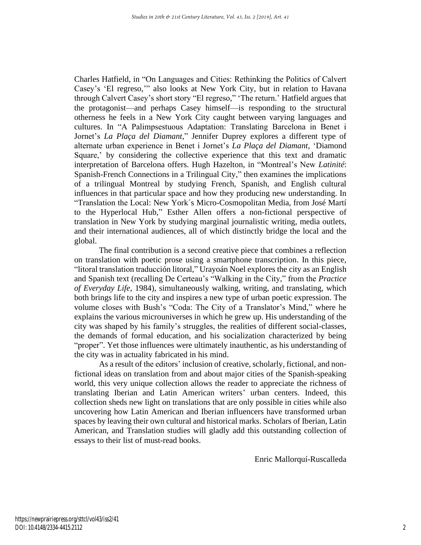Charles Hatfield, in "On Languages and Cities: Rethinking the Politics of Calvert Casey's 'El regreso,'" also looks at New York City, but in relation to Havana through Calvert Casey's short story "El regreso," 'The return.' Hatfield argues that the protagonist—and perhaps Casey himself—is responding to the structural otherness he feels in a New York City caught between varying languages and cultures. In "A Palimpsestuous Adaptation: Translating Barcelona in Benet i Jornet's *La Plaça del Diamant*," Jennifer Duprey explores a different type of alternate urban experience in Benet i Jornet's *La Plaça del Diamant,* 'Diamond Square,' by considering the collective experience that this text and dramatic interpretation of Barcelona offers. Hugh Hazelton, in "Montreal's New *Latinité*: Spanish-French Connections in a Trilingual City," then examines the implications of a trilingual Montreal by studying French, Spanish, and English cultural influences in that particular space and how they producing new understanding. In "Translation the Local: New York´s Micro-Cosmopolitan Media, from José Martí to the Hyperlocal Hub," Esther Allen offers a non-fictional perspective of translation in New York by studying marginal journalistic writing, media outlets, and their international audiences, all of which distinctly bridge the local and the global.

The final contribution is a second creative piece that combines a reflection on translation with poetic prose using a smartphone transcription. In this piece, "litoral translation traducción litoral," Urayoán Noel explores the city as an English and Spanish text (recalling De Certeau's "Walking in the City," from the *Practice of Everyday Life*, 1984), simultaneously walking, writing, and translating, which both brings life to the city and inspires a new type of urban poetic expression. The volume closes with Bush's "Coda: The City of a Translator's Mind," where he explains the various microuniverses in which he grew up. His understanding of the city was shaped by his family's struggles, the realities of different social-classes, the demands of formal education, and his socialization characterized by being "proper". Yet those influences were ultimately inauthentic, as his understanding of the city was in actuality fabricated in his mind.

As a result of the editors' inclusion of creative, scholarly, fictional, and nonfictional ideas on translation from and about major cities of the Spanish-speaking world, this very unique collection allows the reader to appreciate the richness of translating Iberian and Latin American writers' urban centers. Indeed, this collection sheds new light on translations that are only possible in cities while also uncovering how Latin American and Iberian influencers have transformed urban spaces by leaving their own cultural and historical marks. Scholars of Iberian, Latin American, and Translation studies will gladly add this outstanding collection of essays to their list of must-read books.

Enric Mallorquí-Ruscalleda